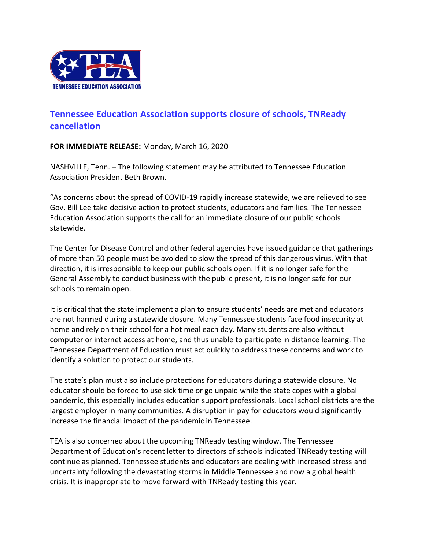

## **Tennessee Education Association supports closure of schools, TNReady cancellation**

**FOR IMMEDIATE RELEASE:** Monday, March 16, 2020

NASHVILLE, Tenn. – The following statement may be attributed to Tennessee Education Association President Beth Brown.

"As concerns about the spread of COVID-19 rapidly increase statewide, we are relieved to see Gov. Bill Lee take decisive action to protect students, educators and families. The Tennessee Education Association supports the call for an immediate closure of our public schools statewide.

The Center for Disease Control and other federal agencies have issued guidance that gatherings of more than 50 people must be avoided to slow the spread of this dangerous virus. With that direction, it is irresponsible to keep our public schools open. If it is no longer safe for the General Assembly to conduct business with the public present, it is no longer safe for our schools to remain open.

It is critical that the state implement a plan to ensure students' needs are met and educators are not harmed during a statewide closure. Many Tennessee students face food insecurity at home and rely on their school for a hot meal each day. Many students are also without computer or internet access at home, and thus unable to participate in distance learning. The Tennessee Department of Education must act quickly to address these concerns and work to identify a solution to protect our students.

The state's plan must also include protections for educators during a statewide closure. No educator should be forced to use sick time or go unpaid while the state copes with a global pandemic, this especially includes education support professionals. Local school districts are the largest employer in many communities. A disruption in pay for educators would significantly increase the financial impact of the pandemic in Tennessee.

TEA is also concerned about the upcoming TNReady testing window. The Tennessee Department of Education's recent letter to directors of schools indicated TNReady testing will continue as planned. Tennessee students and educators are dealing with increased stress and uncertainty following the devastating storms in Middle Tennessee and now a global health crisis. It is inappropriate to move forward with TNReady testing this year.